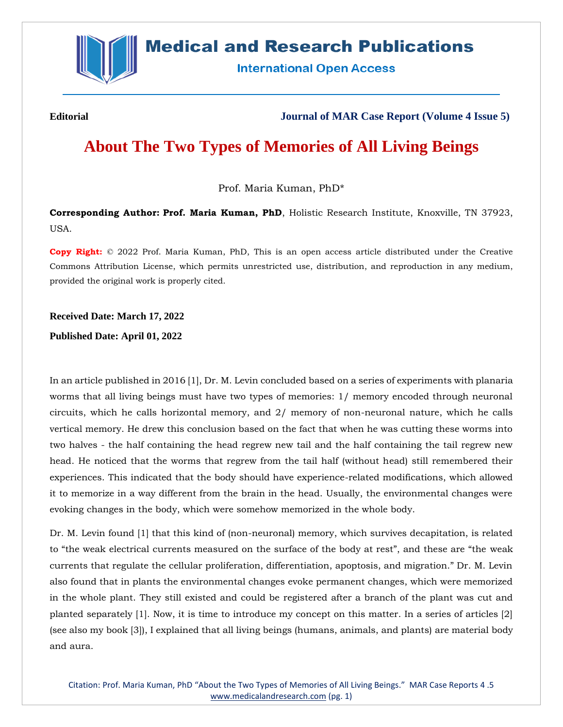

## **Medical and Research Publications**

**International Open Access** 

**Editorial Journal of MAR Case Report (Volume 4 Issue 5)**

# **About The Two Types of Memories of All Living Beings**

Prof. Maria Kuman, PhD\*

**Corresponding Author: Prof. Maria Kuman, PhD**, Holistic Research Institute, Knoxville, TN 37923, USA.

**Copy Right:** © 2022 Prof. Maria Kuman, PhD, This is an open access article distributed under the Creative Commons Attribution License, which permits unrestricted use, distribution, and reproduction in any medium, provided the original work is properly cited.

### **Received Date: March 17, 2022**

**Published Date: April 01, 2022**

In an article published in 2016 [1], Dr. M. Levin concluded based on a series of experiments with planaria worms that all living beings must have two types of memories: 1/ memory encoded through neuronal circuits, which he calls horizontal memory, and 2/ memory of non-neuronal nature, which he calls vertical memory. He drew this conclusion based on the fact that when he was cutting these worms into two halves - the half containing the head regrew new tail and the half containing the tail regrew new head. He noticed that the worms that regrew from the tail half (without head) still remembered their experiences. This indicated that the body should have experience-related modifications, which allowed it to memorize in a way different from the brain in the head. Usually, the environmental changes were evoking changes in the body, which were somehow memorized in the whole body.

Dr. M. Levin found [1] that this kind of (non-neuronal) memory, which survives decapitation, is related to "the weak electrical currents measured on the surface of the body at rest", and these are "the weak currents that regulate the cellular proliferation, differentiation, apoptosis, and migration." Dr. M. Levin also found that in plants the environmental changes evoke permanent changes, which were memorized in the whole plant. They still existed and could be registered after a branch of the plant was cut and planted separately [1]. Now, it is time to introduce my concept on this matter. In a series of articles [2] (see also my book [3]), I explained that all living beings (humans, animals, and plants) are material body and aura.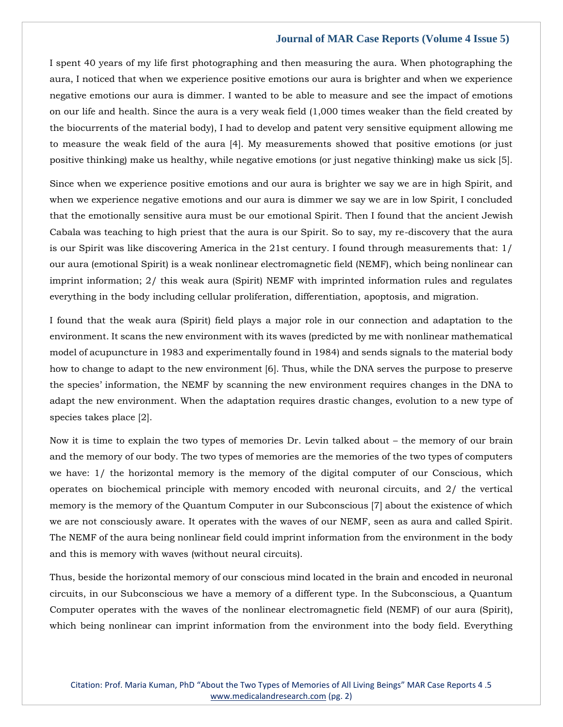#### **Journal of MAR Case Reports (Volume 4 Issue 5)**

I spent 40 years of my life first photographing and then measuring the aura. When photographing the aura, I noticed that when we experience positive emotions our aura is brighter and when we experience negative emotions our aura is dimmer. I wanted to be able to measure and see the impact of emotions on our life and health. Since the aura is a very weak field (1,000 times weaker than the field created by the biocurrents of the material body), I had to develop and patent very sensitive equipment allowing me to measure the weak field of the aura [4]. My measurements showed that positive emotions (or just positive thinking) make us healthy, while negative emotions (or just negative thinking) make us sick [5].

Since when we experience positive emotions and our aura is brighter we say we are in high Spirit, and when we experience negative emotions and our aura is dimmer we say we are in low Spirit, I concluded that the emotionally sensitive aura must be our emotional Spirit. Then I found that the ancient Jewish Cabala was teaching to high priest that the aura is our Spirit. So to say, my re-discovery that the aura is our Spirit was like discovering America in the 21st century. I found through measurements that: 1/ our aura (emotional Spirit) is a weak nonlinear electromagnetic field (NEMF), which being nonlinear can imprint information; 2/ this weak aura (Spirit) NEMF with imprinted information rules and regulates everything in the body including cellular proliferation, differentiation, apoptosis, and migration.

I found that the weak aura (Spirit) field plays a major role in our connection and adaptation to the environment. It scans the new environment with its waves (predicted by me with nonlinear mathematical model of acupuncture in 1983 and experimentally found in 1984) and sends signals to the material body how to change to adapt to the new environment [6]. Thus, while the DNA serves the purpose to preserve the species' information, the NEMF by scanning the new environment requires changes in the DNA to adapt the new environment. When the adaptation requires drastic changes, evolution to a new type of species takes place [2].

Now it is time to explain the two types of memories Dr. Levin talked about – the memory of our brain and the memory of our body. The two types of memories are the memories of the two types of computers we have: 1/ the horizontal memory is the memory of the digital computer of our Conscious, which operates on biochemical principle with memory encoded with neuronal circuits, and 2/ the vertical memory is the memory of the Quantum Computer in our Subconscious [7] about the existence of which we are not consciously aware. It operates with the waves of our NEMF, seen as aura and called Spirit. The NEMF of the aura being nonlinear field could imprint information from the environment in the body and this is memory with waves (without neural circuits).

Thus, beside the horizontal memory of our conscious mind located in the brain and encoded in neuronal circuits, in our Subconscious we have a memory of a different type. In the Subconscious, a Quantum Computer operates with the waves of the nonlinear electromagnetic field (NEMF) of our aura (Spirit), which being nonlinear can imprint information from the environment into the body field. Everything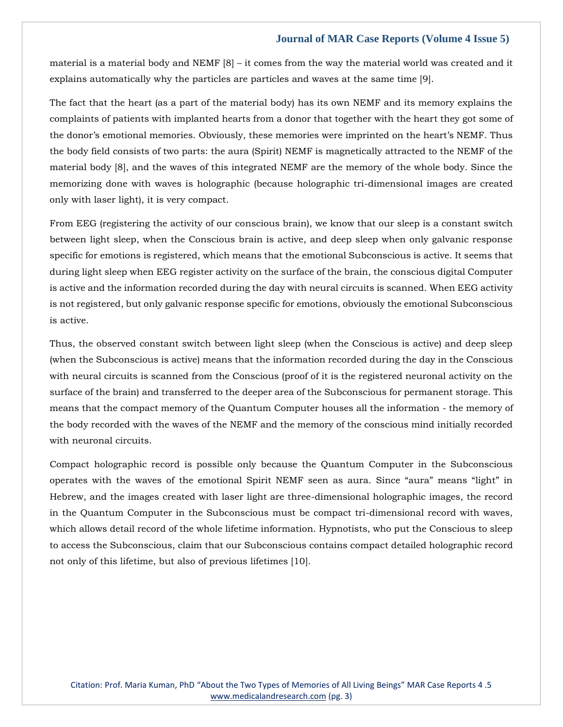#### **Journal of MAR Case Reports (Volume 4 Issue 5)**

material is a material body and NEMF  $[8]$  – it comes from the way the material world was created and it explains automatically why the particles are particles and waves at the same time [9].

The fact that the heart (as a part of the material body) has its own NEMF and its memory explains the complaints of patients with implanted hearts from a donor that together with the heart they got some of the donor's emotional memories. Obviously, these memories were imprinted on the heart's NEMF. Thus the body field consists of two parts: the aura (Spirit) NEMF is magnetically attracted to the NEMF of the material body [8], and the waves of this integrated NEMF are the memory of the whole body. Since the memorizing done with waves is holographic (because holographic tri-dimensional images are created only with laser light), it is very compact.

From EEG (registering the activity of our conscious brain), we know that our sleep is a constant switch between light sleep, when the Conscious brain is active, and deep sleep when only galvanic response specific for emotions is registered, which means that the emotional Subconscious is active. It seems that during light sleep when EEG register activity on the surface of the brain, the conscious digital Computer is active and the information recorded during the day with neural circuits is scanned. When EEG activity is not registered, but only galvanic response specific for emotions, obviously the emotional Subconscious is active.

Thus, the observed constant switch between light sleep (when the Conscious is active) and deep sleep (when the Subconscious is active) means that the information recorded during the day in the Conscious with neural circuits is scanned from the Conscious (proof of it is the registered neuronal activity on the surface of the brain) and transferred to the deeper area of the Subconscious for permanent storage. This means that the compact memory of the Quantum Computer houses all the information - the memory of the body recorded with the waves of the NEMF and the memory of the conscious mind initially recorded with neuronal circuits.

Compact holographic record is possible only because the Quantum Computer in the Subconscious operates with the waves of the emotional Spirit NEMF seen as aura. Since "aura" means "light" in Hebrew, and the images created with laser light are three-dimensional holographic images, the record in the Quantum Computer in the Subconscious must be compact tri-dimensional record with waves, which allows detail record of the whole lifetime information. Hypnotists, who put the Conscious to sleep to access the Subconscious, claim that our Subconscious contains compact detailed holographic record not only of this lifetime, but also of previous lifetimes [10].